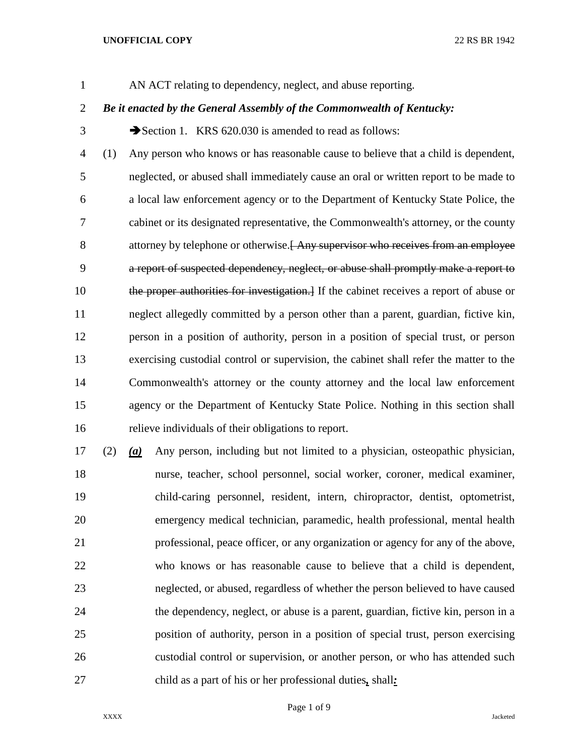## **UNOFFICIAL COPY** 22 RS BR 1942

AN ACT relating to dependency, neglect, and abuse reporting.

## *Be it enacted by the General Assembly of the Commonwealth of Kentucky:*

3 Section 1. KRS 620.030 is amended to read as follows:

 (1) Any person who knows or has reasonable cause to believe that a child is dependent, neglected, or abused shall immediately cause an oral or written report to be made to a local law enforcement agency or to the Department of Kentucky State Police, the cabinet or its designated representative, the Commonwealth's attorney, or the county 8 attorney by telephone or otherwise. Any supervisor who receives from an employee a report of suspected dependency, neglect, or abuse shall promptly make a report to 10 the proper authorities for investigation. If the cabinet receives a report of abuse or neglect allegedly committed by a person other than a parent, guardian, fictive kin, person in a position of authority, person in a position of special trust, or person exercising custodial control or supervision, the cabinet shall refer the matter to the Commonwealth's attorney or the county attorney and the local law enforcement agency or the Department of Kentucky State Police. Nothing in this section shall relieve individuals of their obligations to report.

 (2) *(a)* Any person, including but not limited to a physician, osteopathic physician, nurse, teacher, school personnel, social worker, coroner, medical examiner, child-caring personnel, resident, intern, chiropractor, dentist, optometrist, emergency medical technician, paramedic, health professional, mental health professional, peace officer, or any organization or agency for any of the above, who knows or has reasonable cause to believe that a child is dependent, neglected, or abused, regardless of whether the person believed to have caused the dependency, neglect, or abuse is a parent, guardian, fictive kin, person in a position of authority, person in a position of special trust, person exercising custodial control or supervision, or another person, or who has attended such child as a part of his or her professional duties*,* shall*:*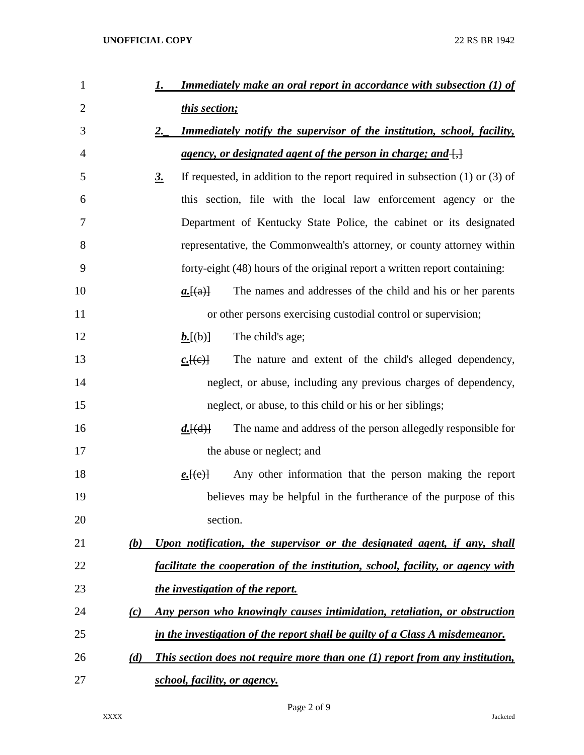| $\mathbf{1}$   | <b>Immediately make an oral report in accordance with subsection (1) of</b><br>1.             |
|----------------|-----------------------------------------------------------------------------------------------|
| $\overline{2}$ | this section;                                                                                 |
| 3              | 2.<br><b>Immediately notify the supervisor of the institution, school, facility,</b>          |
| 4              | <u>agency, or designated agent of the person in charge; and <math>\left\{\right\}</math></u>  |
| 5              | If requested, in addition to the report required in subsection $(1)$ or $(3)$ of<br><u>3.</u> |
| 6              | this section, file with the local law enforcement agency or the                               |
| 7              | Department of Kentucky State Police, the cabinet or its designated                            |
| 8              | representative, the Commonwealth's attorney, or county attorney within                        |
| 9              | forty-eight (48) hours of the original report a written report containing:                    |
| 10             | The names and addresses of the child and his or her parents<br>a.[(a)]                        |
| 11             | or other persons exercising custodial control or supervision;                                 |
| 12             | The child's age;<br>$b.$ [(b)]                                                                |
| 13             | The nature and extent of the child's alleged dependency,<br>$c.$ [(e)]                        |
| 14             | neglect, or abuse, including any previous charges of dependency,                              |
| 15             | neglect, or abuse, to this child or his or her siblings;                                      |
| 16             | The name and address of the person allegedly responsible for<br>$d.$ [(d)]                    |
| 17             | the abuse or neglect; and                                                                     |
| 18             | Any other information that the person making the report<br>$e.\text{[}(e)$                    |
| 19             | believes may be helpful in the furtherance of the purpose of this                             |
| 20             | section.                                                                                      |
| 21             | Upon notification, the supervisor or the designated agent, if any, shall<br>(b)               |
| 22             | facilitate the cooperation of the institution, school, facility, or agency with               |
| 23             | the investigation of the report.                                                              |
| 24             | Any person who knowingly causes intimidation, retaliation, or obstruction<br>(c)              |
| 25             | in the investigation of the report shall be guilty of a Class A misdemeanor.                  |
| 26             | This section does not require more than one (1) report from any institution,<br>(d)           |
| 27             | school, facility, or agency.                                                                  |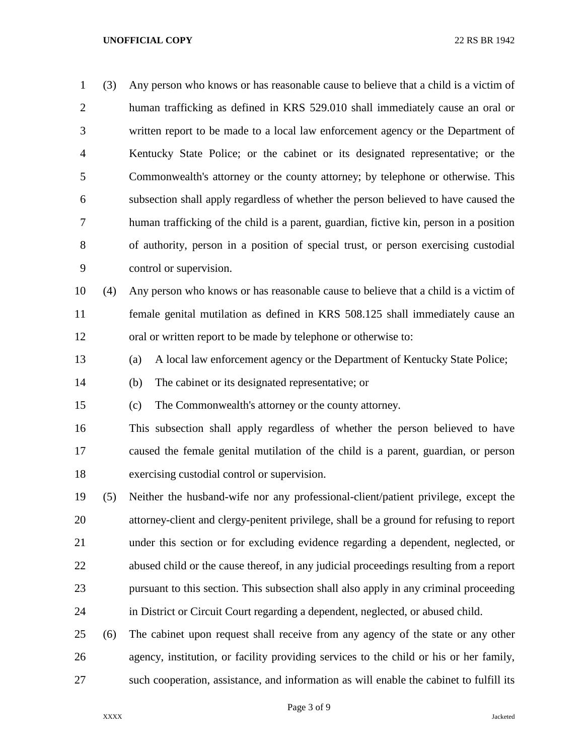## **UNOFFICIAL COPY** 22 RS BR 1942

 (3) Any person who knows or has reasonable cause to believe that a child is a victim of human trafficking as defined in KRS 529.010 shall immediately cause an oral or written report to be made to a local law enforcement agency or the Department of Kentucky State Police; or the cabinet or its designated representative; or the Commonwealth's attorney or the county attorney; by telephone or otherwise. This subsection shall apply regardless of whether the person believed to have caused the human trafficking of the child is a parent, guardian, fictive kin, person in a position of authority, person in a position of special trust, or person exercising custodial control or supervision. (4) Any person who knows or has reasonable cause to believe that a child is a victim of female genital mutilation as defined in KRS 508.125 shall immediately cause an oral or written report to be made by telephone or otherwise to: (a) A local law enforcement agency or the Department of Kentucky State Police; (b) The cabinet or its designated representative; or (c) The Commonwealth's attorney or the county attorney. This subsection shall apply regardless of whether the person believed to have caused the female genital mutilation of the child is a parent, guardian, or person exercising custodial control or supervision. (5) Neither the husband-wife nor any professional-client/patient privilege, except the attorney-client and clergy-penitent privilege, shall be a ground for refusing to report under this section or for excluding evidence regarding a dependent, neglected, or abused child or the cause thereof, in any judicial proceedings resulting from a report pursuant to this section. This subsection shall also apply in any criminal proceeding in District or Circuit Court regarding a dependent, neglected, or abused child. (6) The cabinet upon request shall receive from any agency of the state or any other agency, institution, or facility providing services to the child or his or her family, such cooperation, assistance, and information as will enable the cabinet to fulfill its

Page 3 of 9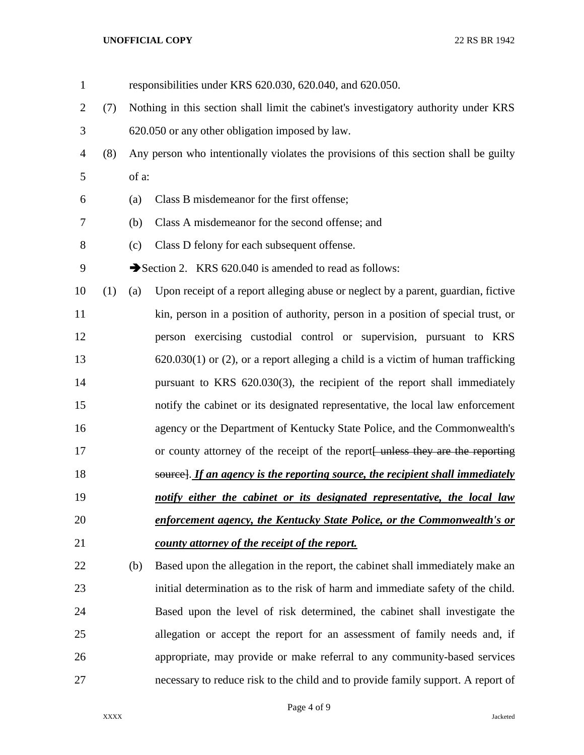## **UNOFFICIAL COPY** 22 RS BR 1942

| $\mathbf{1}$ |     |                                                                                     | responsibilities under KRS 620.030, 620.040, and 620.050.                            |  |
|--------------|-----|-------------------------------------------------------------------------------------|--------------------------------------------------------------------------------------|--|
| $\mathbf{2}$ | (7) | Nothing in this section shall limit the cabinet's investigatory authority under KRS |                                                                                      |  |
| 3            |     |                                                                                     | 620.050 or any other obligation imposed by law.                                      |  |
| 4            | (8) |                                                                                     | Any person who intentionally violates the provisions of this section shall be guilty |  |
| 5            |     | of a:                                                                               |                                                                                      |  |
| 6            |     | (a)                                                                                 | Class B misdemeanor for the first offense;                                           |  |
| 7            |     | (b)                                                                                 | Class A misdemeanor for the second offense; and                                      |  |
| 8            |     | (c)                                                                                 | Class D felony for each subsequent offense.                                          |  |
| 9            |     |                                                                                     | Section 2. KRS 620.040 is amended to read as follows:                                |  |
| 10           | (1) | (a)                                                                                 | Upon receipt of a report alleging abuse or neglect by a parent, guardian, fictive    |  |
| 11           |     |                                                                                     | kin, person in a position of authority, person in a position of special trust, or    |  |
| 12           |     |                                                                                     | person exercising custodial control or supervision, pursuant to KRS                  |  |
| 13           |     |                                                                                     | $620.030(1)$ or (2), or a report alleging a child is a victim of human trafficking   |  |
| 14           |     |                                                                                     | pursuant to KRS 620.030(3), the recipient of the report shall immediately            |  |
| 15           |     |                                                                                     | notify the cabinet or its designated representative, the local law enforcement       |  |
| 16           |     |                                                                                     | agency or the Department of Kentucky State Police, and the Commonwealth's            |  |
| 17           |     |                                                                                     | or county attorney of the receipt of the report unless they are the reporting        |  |
| 18           |     |                                                                                     | source]. If an agency is the reporting source, the recipient shall immediately       |  |
| 19           |     |                                                                                     | notify either the cabinet or its designated representative, the local law            |  |
| 20           |     |                                                                                     | enforcement agency, the Kentucky State Police, or the Commonwealth's or              |  |
| 21           |     |                                                                                     | county attorney of the receipt of the report.                                        |  |
| 22           |     | (b)                                                                                 | Based upon the allegation in the report, the cabinet shall immediately make an       |  |
| 23           |     |                                                                                     | initial determination as to the risk of harm and immediate safety of the child.      |  |
| 24           |     |                                                                                     | Based upon the level of risk determined, the cabinet shall investigate the           |  |
| 25           |     |                                                                                     | allegation or accept the report for an assessment of family needs and, if            |  |
| 26           |     |                                                                                     | appropriate, may provide or make referral to any community-based services            |  |
| 27           |     |                                                                                     | necessary to reduce risk to the child and to provide family support. A report of     |  |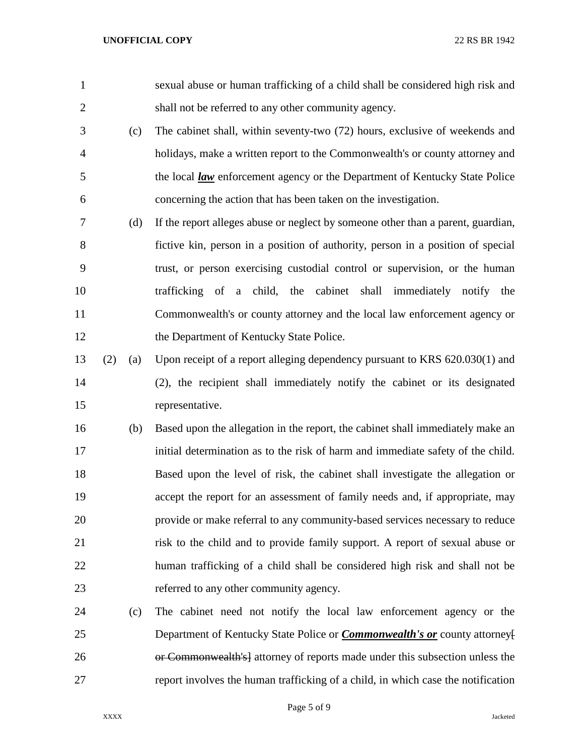sexual abuse or human trafficking of a child shall be considered high risk and shall not be referred to any other community agency. (c) The cabinet shall, within seventy-two (72) hours, exclusive of weekends and holidays, make a written report to the Commonwealth's or county attorney and 5 the local <u>law</u> enforcement agency or the Department of Kentucky State Police concerning the action that has been taken on the investigation. (d) If the report alleges abuse or neglect by someone other than a parent, guardian, fictive kin, person in a position of authority, person in a position of special trust, or person exercising custodial control or supervision, or the human trafficking of a child, the cabinet shall immediately notify the Commonwealth's or county attorney and the local law enforcement agency or 12 the Department of Kentucky State Police. (2) (a) Upon receipt of a report alleging dependency pursuant to KRS 620.030(1) and (2), the recipient shall immediately notify the cabinet or its designated representative. (b) Based upon the allegation in the report, the cabinet shall immediately make an initial determination as to the risk of harm and immediate safety of the child. Based upon the level of risk, the cabinet shall investigate the allegation or accept the report for an assessment of family needs and, if appropriate, may provide or make referral to any community-based services necessary to reduce risk to the child and to provide family support. A report of sexual abuse or human trafficking of a child shall be considered high risk and shall not be referred to any other community agency. (c) The cabinet need not notify the local law enforcement agency or the Department of Kentucky State Police or *Commonwealth's or* county attorney[ **or Commonwealth's** attorney of reports made under this subsection unless the report involves the human trafficking of a child, in which case the notification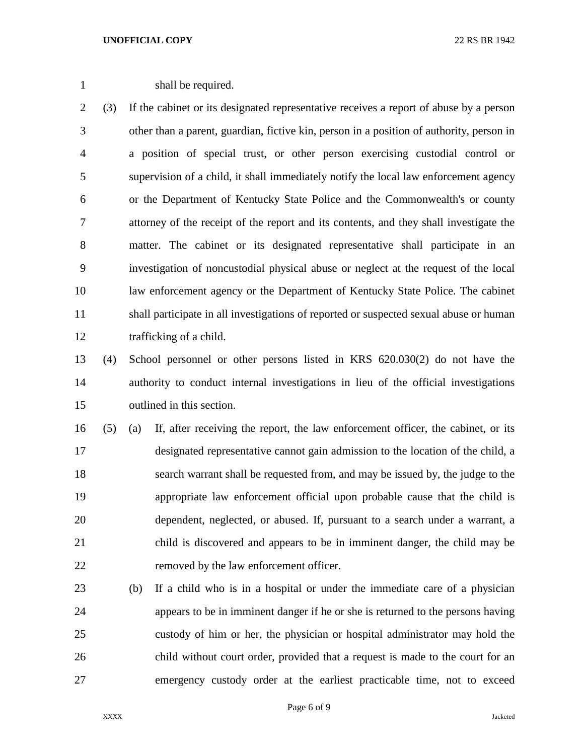1 shall be required.

 (3) If the cabinet or its designated representative receives a report of abuse by a person other than a parent, guardian, fictive kin, person in a position of authority, person in a position of special trust, or other person exercising custodial control or supervision of a child, it shall immediately notify the local law enforcement agency or the Department of Kentucky State Police and the Commonwealth's or county attorney of the receipt of the report and its contents, and they shall investigate the matter. The cabinet or its designated representative shall participate in an investigation of noncustodial physical abuse or neglect at the request of the local law enforcement agency or the Department of Kentucky State Police. The cabinet shall participate in all investigations of reported or suspected sexual abuse or human trafficking of a child.

 (4) School personnel or other persons listed in KRS 620.030(2) do not have the authority to conduct internal investigations in lieu of the official investigations outlined in this section.

 (5) (a) If, after receiving the report, the law enforcement officer, the cabinet, or its designated representative cannot gain admission to the location of the child, a search warrant shall be requested from, and may be issued by, the judge to the appropriate law enforcement official upon probable cause that the child is dependent, neglected, or abused. If, pursuant to a search under a warrant, a child is discovered and appears to be in imminent danger, the child may be removed by the law enforcement officer.

 (b) If a child who is in a hospital or under the immediate care of a physician appears to be in imminent danger if he or she is returned to the persons having custody of him or her, the physician or hospital administrator may hold the child without court order, provided that a request is made to the court for an emergency custody order at the earliest practicable time, not to exceed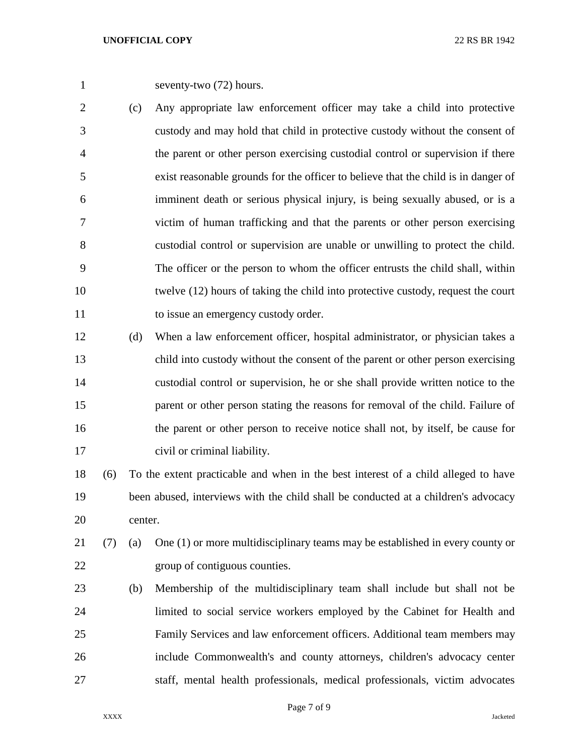seventy-two (72) hours.

- (c) Any appropriate law enforcement officer may take a child into protective custody and may hold that child in protective custody without the consent of the parent or other person exercising custodial control or supervision if there exist reasonable grounds for the officer to believe that the child is in danger of imminent death or serious physical injury, is being sexually abused, or is a victim of human trafficking and that the parents or other person exercising custodial control or supervision are unable or unwilling to protect the child. The officer or the person to whom the officer entrusts the child shall, within twelve (12) hours of taking the child into protective custody, request the court 11 to issue an emergency custody order.
- (d) When a law enforcement officer, hospital administrator, or physician takes a child into custody without the consent of the parent or other person exercising custodial control or supervision, he or she shall provide written notice to the parent or other person stating the reasons for removal of the child. Failure of the parent or other person to receive notice shall not, by itself, be cause for civil or criminal liability.
- (6) To the extent practicable and when in the best interest of a child alleged to have been abused, interviews with the child shall be conducted at a children's advocacy center.
- (7) (a) One (1) or more multidisciplinary teams may be established in every county or group of contiguous counties.
- (b) Membership of the multidisciplinary team shall include but shall not be limited to social service workers employed by the Cabinet for Health and Family Services and law enforcement officers. Additional team members may include Commonwealth's and county attorneys, children's advocacy center staff, mental health professionals, medical professionals, victim advocates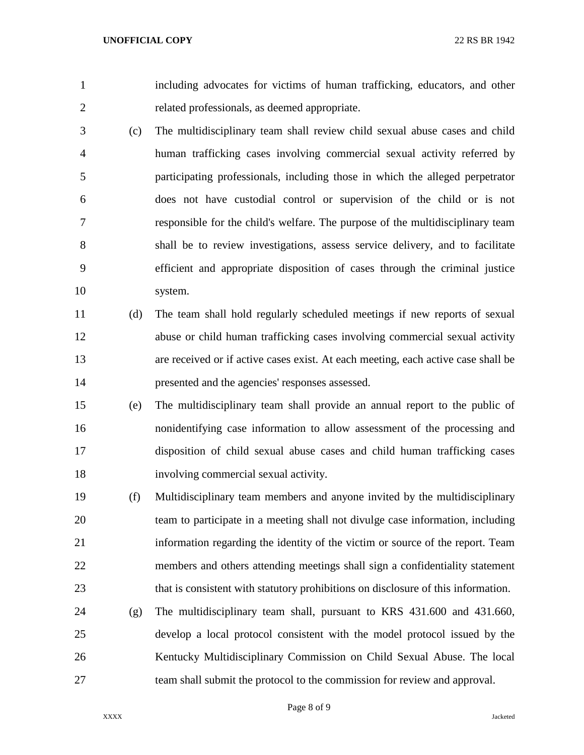including advocates for victims of human trafficking, educators, and other related professionals, as deemed appropriate.

- (c) The multidisciplinary team shall review child sexual abuse cases and child human trafficking cases involving commercial sexual activity referred by participating professionals, including those in which the alleged perpetrator does not have custodial control or supervision of the child or is not responsible for the child's welfare. The purpose of the multidisciplinary team shall be to review investigations, assess service delivery, and to facilitate efficient and appropriate disposition of cases through the criminal justice system.
- (d) The team shall hold regularly scheduled meetings if new reports of sexual abuse or child human trafficking cases involving commercial sexual activity are received or if active cases exist. At each meeting, each active case shall be presented and the agencies' responses assessed.
- (e) The multidisciplinary team shall provide an annual report to the public of nonidentifying case information to allow assessment of the processing and disposition of child sexual abuse cases and child human trafficking cases involving commercial sexual activity.
- (f) Multidisciplinary team members and anyone invited by the multidisciplinary team to participate in a meeting shall not divulge case information, including information regarding the identity of the victim or source of the report. Team members and others attending meetings shall sign a confidentiality statement that is consistent with statutory prohibitions on disclosure of this information.
- (g) The multidisciplinary team shall, pursuant to KRS 431.600 and 431.660, develop a local protocol consistent with the model protocol issued by the Kentucky Multidisciplinary Commission on Child Sexual Abuse. The local team shall submit the protocol to the commission for review and approval.